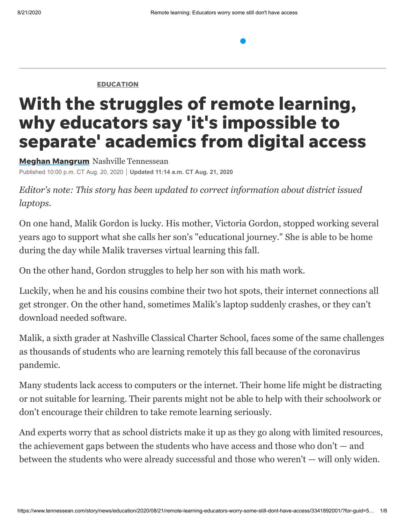**[EDUCATION](https://www.tennessean.com/news/education/)** 

# With the struggles of remote learning, why educators say 'it's impossible to separate' academics from digital access

**Meghan [Mangrum](https://www.tennessean.com/staff/3235595001/meghan-mangrum/)** Nashville Tennessean Published 10:00 p.m. CT Aug. 20, 2020 **Updated 11:14 a.m. CT Aug. 21, 2020**

*Editor's note: This story has been updated to correct information about district issued laptops.* 

On one hand, Malik Gordon is lucky. His mother, Victoria Gordon, stopped working several years ago to support what she calls her son's "educational journey." She is able to be home during the day while Malik traverses virtual learning this fall.

On the other hand, Gordon struggles to help her son with his math work.

Luckily, when he and his cousins combine their two hot spots, their internet connections all get stronger. On the other hand, sometimes Malik's laptop suddenly crashes, or they can't download needed software.

Malik, a sixth grader at Nashville Classical Charter School, faces some of the same challenges as thousands of students who are learning remotely this fall because of the coronavirus pandemic.

Many students lack access to computers or the internet. Their home life might be distracting or not suitable for learning. Their parents might not be able to help with their schoolwork or don't encourage their children to take remote learning seriously.

And experts worry that as school districts make it up as they go along with limited resources, the achievement gaps between the students who have access and those who don't — and between the students who were already successful and those who weren't — will only widen.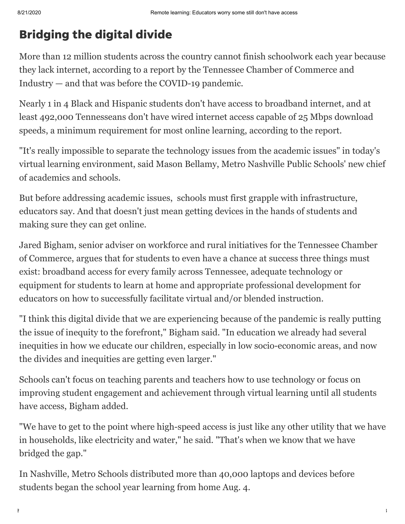## Bridging the digital divide

More than 12 million students across the country cannot finish schoolwork each year because they lack internet, according to a report by the Tennessee Chamber of Commerce and Industry — and that was before the COVID-19 pandemic.

Nearly 1 in 4 Black and Hispanic students don't have access to broadband internet, and at least 492,000 Tennesseans don't have wired internet access capable of 25 Mbps download speeds, a minimum requirement for most online learning, according to the report.

"It's really impossible to separate the technology issues from the academic issues" in today's [virtual learning environment, said Mason Bellamy, Metro Nashville Public Schools' new chief](https://www.tennessean.com/story/news/education/2020/07/07/mnps-names-mason-bellamy-chief-academics-schools/5393654002/) of academics and schools.

But before addressing academic issues, schools must first grapple with infrastructure, educators say. And that doesn't just mean getting devices in the hands of students and making sure they can get online.

Jared Bigham, senior adviser on workforce and rural initiatives for the Tennessee Chamber of Commerce, argues that for students to even have a chance at success three things must exist: broadband access for every family across Tennessee, adequate technology or equipment for students to learn at home and appropriate professional development for educators on how to successfully facilitate virtual and/or blended instruction.

"I think this digital divide that we are experiencing because of the pandemic is really putting the issue of inequity to the forefront," Bigham said. "In education we already had several inequities in how we educate our children, especially in low socio-economic areas, and now the divides and inequities are getting even larger."

Schools can't focus on teaching parents and teachers how to use technology or focus on improving student engagement and achievement through virtual learning until all students have access, Bigham added.

"We have to get to the point where high-speed access is just like any other utility that we have in households, like electricity and water," he said. "That's when we know that we have bridged the gap."

In Nashville, Metro Schools distributed more than 40,000 laptops and devices before students began the school year learning from home Aug. 4.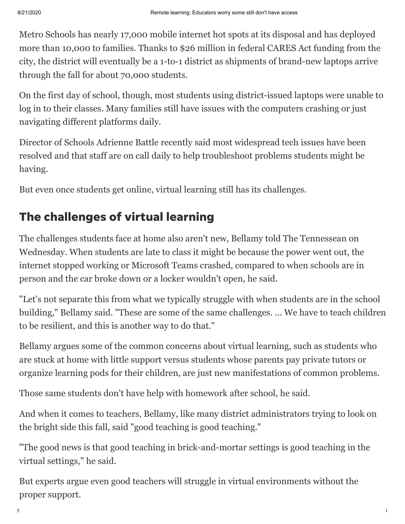Metro Schools has nearly 17,000 mobile internet hot spots at its disposal and has deployed more than 10,000 to families. Thanks to \$26 million in federal CARES Act funding from the city, the district will eventually be a 1-to-1 district as shipments of brand-new laptops arrive through the fall for about 70,000 students.

[On the first day of school, though, most students using district-issued laptops were unable to](https://www.tennessean.com/story/news/education/2020/08/04/metro-nashville-public-schools-start-school-year-virtual-technology/5560082002/) log in to their classes. Many families still have issues with the computers crashing or just navigating different platforms daily.

Director of Schools Adrienne Battle recently said most widespread tech issues have been resolved and that staff are on call daily to help troubleshoot problems students might be having.

But even once students get online, virtual learning still has its challenges.

## The challenges of virtual learning

The challenges students face at home also aren't new, Bellamy told The Tennessean on Wednesday. When students are late to class it might be because the power went out, the internet stopped working or Microsoft Teams crashed, compared to when schools are in person and the car broke down or a locker wouldn't open, he said.

"Let's not separate this from what we typically struggle with when students are in the school building," Bellamy said. "These are some of the same challenges. ... We have to teach children to be resilient, and this is another way to do that."

Bellamy argues some of the common concerns about virtual learning, such as students who are stuck at home with little support versus students whose parents pay private tutors or organize learning pods for their children, are just new manifestations of common problems.

Those same students don't have help with homework after school, he said.

And when it comes to teachers, Bellamy, like many district administrators trying to look on the bright side this fall, said "good teaching is good teaching."

"The good news is that good teaching in brick-and-mortar settings is good teaching in the virtual settings," he said.

But experts argue even good teachers will struggle in virtual environments without the proper support.

https://www.tennessean.com/story/news/education/2020/08/21/remote-learning-educators-worry-some-still-dont-have-access/3341892001/?for-guid=5… 3/8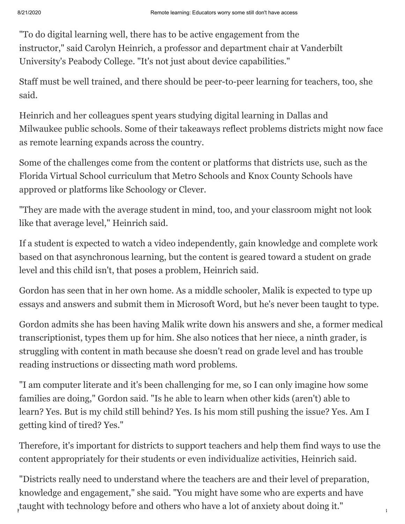"To do digital learning well, there has to be active engagement from the instructor," said Carolyn Heinrich, a professor and department chair at Vanderbilt University's Peabody College. "It's not just about device capabilities."

Staff must be well trained, and there should be peer-to-peer learning for teachers, too, she said.

Heinrich and her colleagues spent years studying digital learning in Dallas and Milwaukee public schools. Some of their takeaways reflect problems districts might now face as remote learning expands across the country.

Some of the challenges come from the content or platforms that districts use, such as the Florida Virtual School curriculum that Metro Schools and Knox County Schools have approved or platforms like Schoology or Clever.

"They are made with the average student in mind, too, and your classroom might not look like that average level," Heinrich said.

If a student is expected to watch a video independently, gain knowledge and complete work based on that asynchronous learning, but the content is geared toward a student on grade level and this child isn't, that poses a problem, Heinrich said.

Gordon has seen that in her own home. As a middle schooler, Malik is expected to type up essays and answers and submit them in Microsoft Word, but he's never been taught to type.

Gordon admits she has been having Malik write down his answers and she, a former medical transcriptionist, types them up for him. She also notices that her niece, a ninth grader, is struggling with content in math because she doesn't read on grade level and has trouble reading instructions or dissecting math word problems.

"I am computer literate and it's been challenging for me, so I can only imagine how some families are doing," Gordon said. "Is he able to learn when other kids (aren't) able to learn? Yes. But is my child still behind? Yes. Is his mom still pushing the issue? Yes. Am I getting kind of tired? Yes."

Therefore, it's important for districts to support teachers and help them find ways to use the content appropriately for their students or even individualize activities, Heinrich said.

, taught with technology before and others who have a lot of anxiety about doing it." "Districts really need to understand where the teachers are and their level of preparation, knowledge and engagement," she said. "You might have some who are experts and have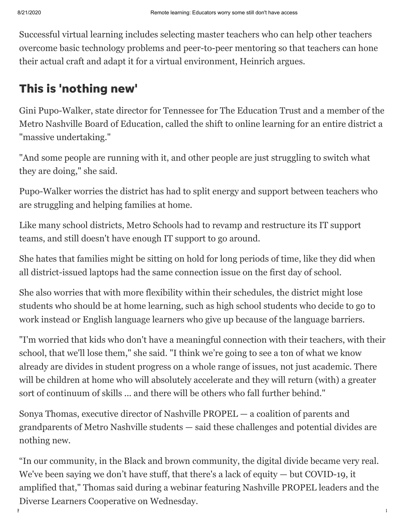Successful virtual learning includes selecting master teachers who can help other teachers overcome basic technology problems and peer-to-peer mentoring so that teachers can hone their actual craft and adapt it for a virtual environment, Heinrich argues.

#### This is 'nothing new'

Gini Pupo-Walker, state director for Tennessee for The Education Trust and a member of the Metro Nashville Board of Education, called the shift to online learning for an entire district a "massive undertaking."

"And some people are running with it, and other people are just struggling to switch what they are doing," she said.

Pupo-Walker worries the district has had to split energy and support between teachers who are struggling and helping families at home.

Like many school districts, Metro Schools had to revamp and restructure its IT support teams, and still doesn't have enough IT support to go around.

She hates that families might be sitting on hold for long periods of time, like they did when all district-issued laptops had the same connection issue on the first day of school.

She also worries that with more flexibility within their schedules, the district might lose students who should be at home learning, such as high school students who decide to go to work instead or English language learners who give up because of the language barriers.

"I'm worried that kids who don't have a meaningful connection with their teachers, with their school, that we'll lose them," she said. "I think we're going to see a ton of what we know already are divides in student progress on a whole range of issues, not just academic. There will be children at home who will absolutely accelerate and they will return (with) a greater sort of continuum of skills ... and there will be others who fall further behind."

Sonya Thomas, executive director of Nashville PROPEL — a coalition of parents and grandparents of Metro Nashville students — said these challenges and potential divides are nothing new.

"In our community, in the Black and brown community, the digital divide became very real. We've been saying we don't have stuff, that there's a lack of equity — but COVID-19, it amplified that," Thomas said during a webinar featuring Nashville PROPEL leaders and the Diverse Learners Cooperative on Wednesday.

https://www.tennessean.com/story/news/education/2020/08/21/remote-learning-educators-worry-some-still-dont-have-access/3341892001/?for-guid=5… 5/8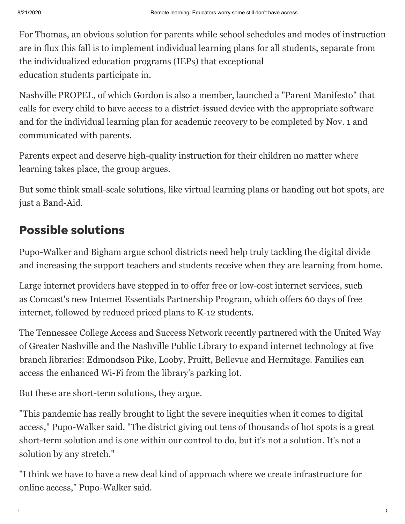For Thomas, an obvious solution for parents while school schedules and modes of instruction are in flux this fall is to implement individual learning plans for all students, separate from the individualized education programs (IEPs) that exceptional education students participate in.

Nashville PROPEL, of which Gordon is also a member, launched a "Parent Manifesto" that calls for every child to have access to a district-issued device with the appropriate software and for the individual learning plan for academic recovery to be completed by Nov. 1 and communicated with parents.

Parents expect and deserve high-quality instruction for their children no matter where learning takes place, the group argues.

But some think small-scale solutions, like virtual learning plans or handing out hot spots, are just a Band-Aid.

#### Possible solutions

Pupo-Walker and Bigham argue school districts need help truly tackling the digital divide and increasing the support teachers and students receive when they are learning from home.

Large internet providers have stepped in to offer free or low-cost internet services, such as Comcast's new Internet Essentials Partnership Program, which offers 60 days of free internet, followed by reduced priced plans to K-12 students.

The Tennessee College Access and Success Network recently partnered with the United Way of Greater Nashville and the Nashville Public Library to expand internet technology at five branch libraries: Edmondson Pike, Looby, Pruitt, Bellevue and Hermitage. Families can access the enhanced Wi-Fi from the library's parking lot.

But these are short-term solutions, they argue.

"This pandemic has really brought to light the severe inequities when it comes to digital access," Pupo-Walker said. "The district giving out tens of thousands of hot spots is a great short-term solution and is one within our control to do, but it's not a solution. It's not a solution by any stretch."

"I think we have to have a new deal kind of approach where we create infrastructure for online access," Pupo-Walker said.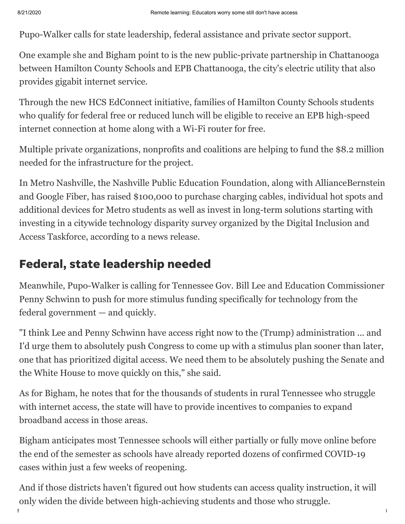Pupo-Walker calls for state leadership, federal assistance and private sector support.

One example she and Bigham point to is the new public-private partnership in Chattanooga between Hamilton County Schools and EPB Chattanooga, the city's electric utility that also provides gigabit internet service.

Through the new HCS EdConnect initiative, families of Hamilton County Schools students who qualify for federal free or reduced lunch will be eligible to receive an EPB high-speed internet connection at home along with a Wi-Fi router for free.

Multiple private organizations, nonprofits and coalitions are helping to fund the \$8.2 million needed for the infrastructure for the project.

In Metro Nashville, the Nashville Public Education Foundation, along with AllianceBernstein and Google Fiber, has raised \$100,000 to purchase charging cables, individual hot spots and additional devices for Metro students as well as invest in long-term solutions starting with investing in a citywide technology disparity survey organized by the Digital Inclusion and Access Taskforce, according to a news release.

### Federal, state leadership needed

Meanwhile, Pupo-Walker is calling for Tennessee Gov. Bill Lee and Education Commissioner Penny Schwinn to push for more stimulus funding specifically for technology from the federal government — and quickly.

"I think Lee and Penny Schwinn have access right now to the (Trump) administration ... and I'd urge them to absolutely push Congress to come up with a stimulus plan sooner than later, one that has prioritized digital access. We need them to be absolutely pushing the Senate and the White House to move quickly on this," she said.

As for Bigham, he notes that for the thousands of students in rural Tennessee who struggle with internet access, the state will have to provide incentives to companies to expand broadband access in those areas.

Bigham anticipates most Tennessee schools will either partially or fully move online before the end of the semester as schools have already reported dozens of confirmed COVID-19 cases within just a few weeks of reopening.

https://www.tennessean.com/story/news/education/2020/08/21/remote-learning-educators-worry-some-still-dont-have-access/3341892001/?for-guid=5… 7/8 And if those districts haven't figured out how students can access quality instruction, it will only widen the divide between high-achieving students and those who struggle.